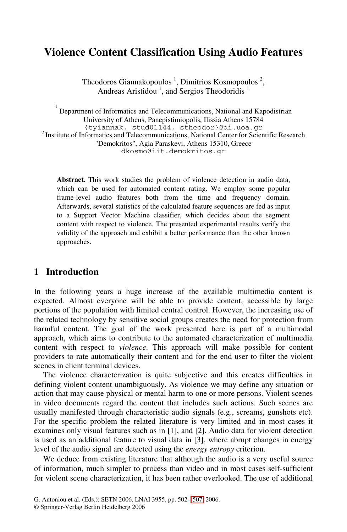# **Violence Content Classification Using Audio Features**

Theodoros Giannakopoulos<sup>1</sup>, Dimitrios Kosmopoulos<sup>2</sup>, Andreas Aristidou<sup>1</sup>, and Sergios Theodoridis<sup>1</sup>

1 Department of Informatics and Telecommunications, National and Kapodistrian University of Athens, Panepistimiopolis, Ilissia Athens 15784<br>{tyiannak, stud01144, stheodor}@di.uoa.gr  $^{2}$  Institute of Informatics and Telecommunications, National Center for Scientific Research "Demokritos", Agia Paraskevi, Athens 15310, Greece dkosmo@iit.demokritos.gr

**Abstract.** This work studies the problem of violence detection in audio data, which can be used for automated content rating. We employ some popular frame-level audio features both from the time and frequency domain. Afterwards, several statistics of the calculated feature sequences are fed as input to a Support Vector Machine classifier, which decides about the segment content with respect to violence. The presented experimental results verify the validity of the approach and exhibit a better performance than the other known approaches.

# **1 Introduction**

In the following years a huge increase of the available multimedia content is expected. Almost everyone will be able to provide content, accessible by large portions of the population with limited central control. However, the increasing use of the related technology by sensitive social groups creates the need for protection from harmful content. The goal of the work presented here is part of a multimodal approach, which aims to contribute to the automated characterization of multimedia content with respect to *violence*. This approach will make possible for content providers to rate automatically their content and for the end user to filter the violent scenes in client terminal devices.

The violence characterization is quite subjective and this creates difficulties in defining violent content unambiguously. As violence we may define any situation or action that may cause physical or mental harm to one or more persons. Violent scenes in video documents regard the content that includes such actions. Such scenes are usually manifested through characteristic audio signals (e.g., screams, gunshots etc). For the specific problem t[he re](#page-5-0)lated literature is very limited and in most cases it examines only visual features such as in [1], and [2]. Audio data for violent detection is used as an additional feature to visual data in [3], where abrupt changes in energy level of the audio signal are detected using the *energy entropy* criterion.

We deduce from existing literature that although the audio is a very useful source of information, much simpler to process than video and in most cases self-sufficient for violent scene characterization, it has been rather overlooked. The use of additional

G. Antoniou et al. (Eds.): SETN 2006, LNAI 3955, pp. 502 – 507, 2006.

<sup>©</sup> Springer-Verlag Berlin Heidelberg 2006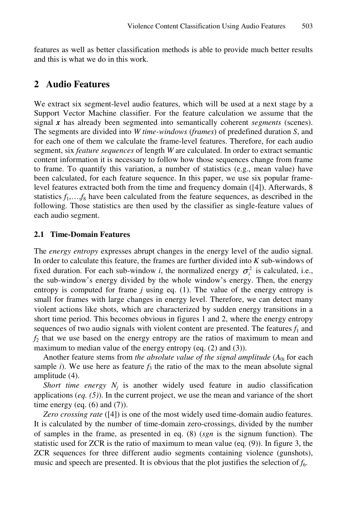features as well as better classification methods is able to provide much better results and this is what we do in this work.

# **2 Audio Features**

We extract six segment-level audio features, which will be used at a next stage by a Support Vector Machine classifier. For the feature calculation we assume that the signal *x* has already been segmented into semantically coherent *segments* (scenes). The segments are divided into *W time-windows* (*frames*) of predefined duration *S*, and for each one of them we calculate the frame-level features. Therefore, for each audio segment, six *feature sequences* of length *W* are calculated. In order to extract semantic content information it is necessary to follow how those sequences change from frame to frame. To quantify this variation, a number of statistics (e.g., mean value) have been calculated, for each feature sequence. In this paper, we use six popular framelevel features extracted both from the time and frequency domain ([4]). Afterwards, 8 statistics  $f_1, \ldots, f_8$  have been calculated from the feature sequences, as described in the following. Those statistics are then used by the classifier as single-feature values of each audio segment.

#### **2.1 Time-Domain Features**

The *energy entropy* expresses abrupt changes in the energy level of the audio signal. In order to calculate this feature, the frames are further divided into *K* sub-windows of fixed duration. For each sub-window *i*, the normalized energy  $\sigma_i^2$  is calculated, i.e., the sub-window's energy divided by the whole window's energy. Then, the energy entropy is computed for frame  $j$  using eq. (1). The value of the energy entropy is small for frames with large changes in energy level. Therefore, we can detect many violent actions like shots, which are characterized by sudden energy transitions in a short time period. This becomes obvious in figures 1 and 2, where the energy entropy sequences of two audio signals with violent content are presented. The features  $f_1$  and *f*2 that we use based on the energy entropy are the ratios of maximum to mean and maximum to median value of the energy entropy (eq. (2) and (3)).

Another feature stems from *the absolute value of the signal amplitude*  $(A_{0i}$  for each sample *i*). We use here as feature  $f_3$  the ratio of the max to the mean absolute signal amplitude (4).

*Short time energy*  $N_i$  is another widely used feature in audio classification applications (*eq. (5)*). In the current project, we use the mean and variance of the short time energy (eq.  $(6)$  and  $(7)$ ).

*Zero crossing rate* ([4]) is one of the most widely used time-domain audio features. It is calculated by the number of time-domain zero-crossings, divided by the number of samples in the frame, as presented in eq. (8) (*sgn* is the signum function). The statistic used for ZCR is the ratio of maximum to mean value (eq. (9)). In figure 3, the ZCR sequences for three different audio segments containing violence (gunshots), music and speech are presented. It is obvious that the plot justifies the selection of  $f_6$ .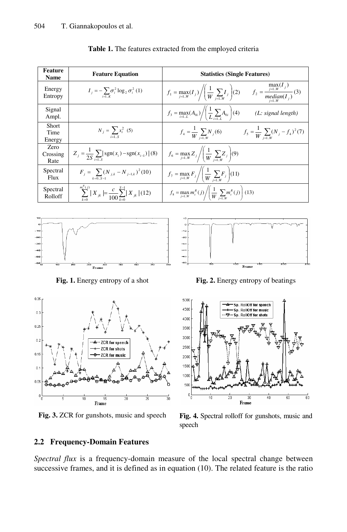| Feature<br><b>Name</b>   | <b>Feature Equation</b>                                                         | <b>Statistics (Single Features)</b>                                                                                                                      |  |  |  |  |  |
|--------------------------|---------------------------------------------------------------------------------|----------------------------------------------------------------------------------------------------------------------------------------------------------|--|--|--|--|--|
| Energy<br>Entropy        | $I_i = -\sum \sigma_i^2 \log_2 \sigma_i^2$ (1)                                  | $f_1 = \max_{j=1W} (I_j) / \left(\frac{1}{W} \sum_{j=1W} I_j\right) (2) \qquad f_2 = \frac{\max\limits_{j=1W} (I_j)}{\underset{j=1W}{median} (I_j)} (3)$ |  |  |  |  |  |
| Signal<br>Ampl.          |                                                                                 | $f_3 = \max_{i=1L} (A_{0i}) / \left( \frac{1}{L} \sum_{i=1} A_{0i} \right) (4)$<br>(L: signal length)                                                    |  |  |  |  |  |
| Short<br>Time<br>Energy  | $N_j = \sum x_i^2$ (5)<br>$i=1S$                                                | $f_4 = \frac{1}{W} \sum_{i=1 \text{ w}} N_i(6)$ $f_5 = \frac{1}{W} \sum_{i=1 \text{ w}} (N_i - f_4)^2(7)$                                                |  |  |  |  |  |
| Zero<br>Crossing<br>Rate | $Z_i = \frac{1}{2S} \sum_{i=1}^{S}  sgn(x_i) - sgn(x_{i-1}) $ (8)               | $f_6 = \max_{j=1W} Z_j / \left( \frac{1}{W} \sum_{i=1W} Z_j \right) (9)$                                                                                 |  |  |  |  |  |
| Spectral<br>Flux         | $F_j = \sum (N_{j,k} - N_{j-1,k})^2 (10)$<br>$k = 0$ $S = 1$                    | $f_7 = \max_{j=1W} F_j / \left( \frac{1}{W} \sum_{i=1,W} F_j \right) (11)$                                                                               |  |  |  |  |  |
| Spectral<br>Rolloff      | $\sum_{i=1}^{m_c^R(j)}  X_{jk}  = \frac{c}{100} \sum_{k=0}^{S-1}  X_{jk}  (12)$ | $f_8 = \max_{j=1W} m_c^R(j) / \left( \frac{1}{W} \sum_{i=1W} m_c^R(j) \right)$ (13)                                                                      |  |  |  |  |  |







Frame Fig. 1. Energy entropy of a shot **Fig. 2.** Energy entropy of beatings



**Fig. 3.** ZCR for gunshots, music and speech **Fig. 4.** Spectral rolloff for gunshots, music and speech

#### **2.2 Frequency-Domain Features**

*Spectral flux* is a frequency-domain measure of the local spectral change between successive frames, and it is defined as in equation (10). The related feature is the ratio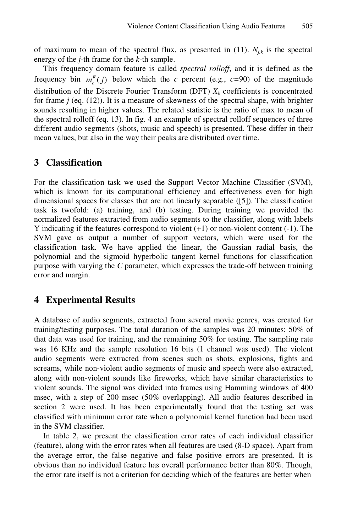of maximum to mean of the spectral flux, as presented in  $(11)$ .  $N_{jk}$  is the spectral energy of the *j*-th frame for the *k*-th sample.

This frequency domain feature is called *spectral rolloff*, and it is defined as the frequency bin  $m_c^R(j)$  below which the *c* percent (e.g., *c*=90) of the magnitude distribution of the Discrete Fourier Transform (DFT)  $X_k$  coefficients is concentrated for frame *j* (eq. (12)). It is a measure of skewness of the spectral shape, with brighter sounds resulting in higher values. The related statistic is the ratio of max to mean of the spectral rolloff (eq. 13). In fig. 4 an example of spectral rolloff sequences of three different audio segments (shots, music and speech) is presented. These differ in their mean values, but also in the way their peaks are distributed over time.

### **3 Classification**

For the classification task we used the Support Vector Machine Classifier (SVM), which is known for its computational efficiency and effectiveness even for high dimensional spaces for classes that are not linearly separable ([5]). The classification task is twofold: (a) training, and (b) testing. During training we provided the normalized features extracted from audio segments to the classifier, along with labels Y indicating if the features correspond to violent (+1) or non-violent content (-1). The SVM gave as output a number of support vectors, which were used for the classification task. We have applied the linear, the Gaussian radial basis, the polynomial and the sigmoid hyperbolic tangent kernel functions for classification purpose with varying the *C* parameter, which expresses the trade-off between training error and margin.

### **4 Experimental Results**

A database of audio segments, extracted from several movie genres, was created for training/testing purposes. The total duration of the samples was 20 minutes: 50% of that data was used for training, and the remaining 50% for testing. The sampling rate was 16 KHz and the sample resolution 16 bits (1 channel was used). The violent audio segments were extracted from scenes such as shots, explosions, fights and screams, while non-violent audio segments of music and speech were also extracted, along with non-violent sounds like fireworks, which have similar characteristics to violent sounds. The signal was divided into frames using Hamming windows of 400 msec, with a step of 200 msec (50% overlapping). All audio features described in section 2 were used. It has been experimentally found that the testing set was classified with minimum error rate when a polynomial kernel function had been used in the SVM classifier.

In table 2, we present the classification error rates of each individual classifier (feature), along with the error rates when all features are used (8-D space). Apart from the average error, the false negative and false positive errors are presented. It is obvious than no individual feature has overall performance better than 80%. Though, the error rate itself is not a criterion for deciding which of the features are better when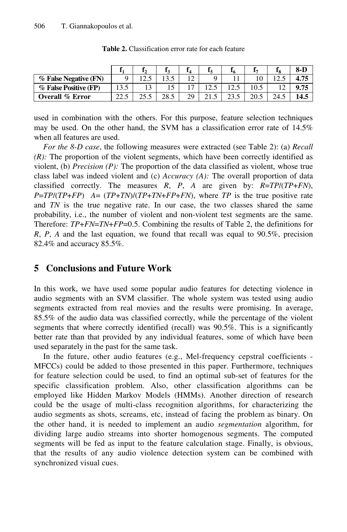|                        |      |       |      | 14 |   |  | 8-D  |
|------------------------|------|-------|------|----|---|--|------|
| % False Negative (FN)  |      | ے . ک |      | 12 | Q |  |      |
| % False Positive (FP)  |      |       |      | 17 |   |  |      |
| <b>Overall % Error</b> | 44.J |       | າວ < | 29 |   |  | 14.5 |

**Table 2.** Classification error rate for each feature

used in combination with the others. For this purpose, feature selection techniques may be used. On the other hand, the SVM has a classification error rate of 14.5% when all features are used.

*For the 8-D case*, the following measures were extracted (see Table 2): (a) *Recall (R):* The proportion of the violent segments, which have been correctly identified as violent, (b) *Precision (P):* The proportion of the data classified as violent, whose true class label was indeed violent and (c) *Accuracy (A):* The overall proportion of data classified correctly. The measures *R*, *P*, *A* are given by: *R*=*TP*/(*TP*+*FN*), *P*=*TP*/(*TP*+*FP*) *A*= (*TP*+*TN*)/(*TP*+*TN*+*FP*+*FN*), where *TP* is the true positive rate and *TN* is the true negative rate. In our case, the two classes shared the same probability, i.e., the number of violent and non-violent test segments are the same. Therefore: *TP*+*FN*=*TN*+*FP*=0.5. Combining the results of Table 2, the definitions for *R*, *P*, *A* and the last equation, we found that recall was equal to 90.5%, precision 82.4% and accuracy 85.5%.

# **5 Conclusions and Future Work**

In this work, we have used some popular audio features for detecting violence in audio segments with an SVM classifier. The whole system was tested using audio segments extracted from real movies and the results were promising. In average, 85.5% of the audio data was classified correctly, while the percentage of the violent segments that where correctly identified (recall) was 90.5%. This is a significantly better rate than that provided by any individual features, some of which have been used separately in the past for the same task.

In the future, other audio features (e.g., Mel-frequency cepstral coefficients - MFCCs) could be added to those presented in this paper. Furthermore, techniques for feature selection could be used, to find an optimal sub-set of features for the specific classification problem. Also, other classification algorithms can be employed like Hidden Markov Models (HMMs). Another direction of research could be the usage of multi-class recognition algorithms, for characterizing the audio segments as shots, screams, etc, instead of facing the problem as binary. On the other hand, it is needed to implement an audio *segmentation* algorithm, for dividing large audio streams into shorter homogenous segments. The computed segments will be fed as input to the feature calculation stage. Finally, is obvious, that the results of any audio violence detection system can be combined with synchronized visual cues.